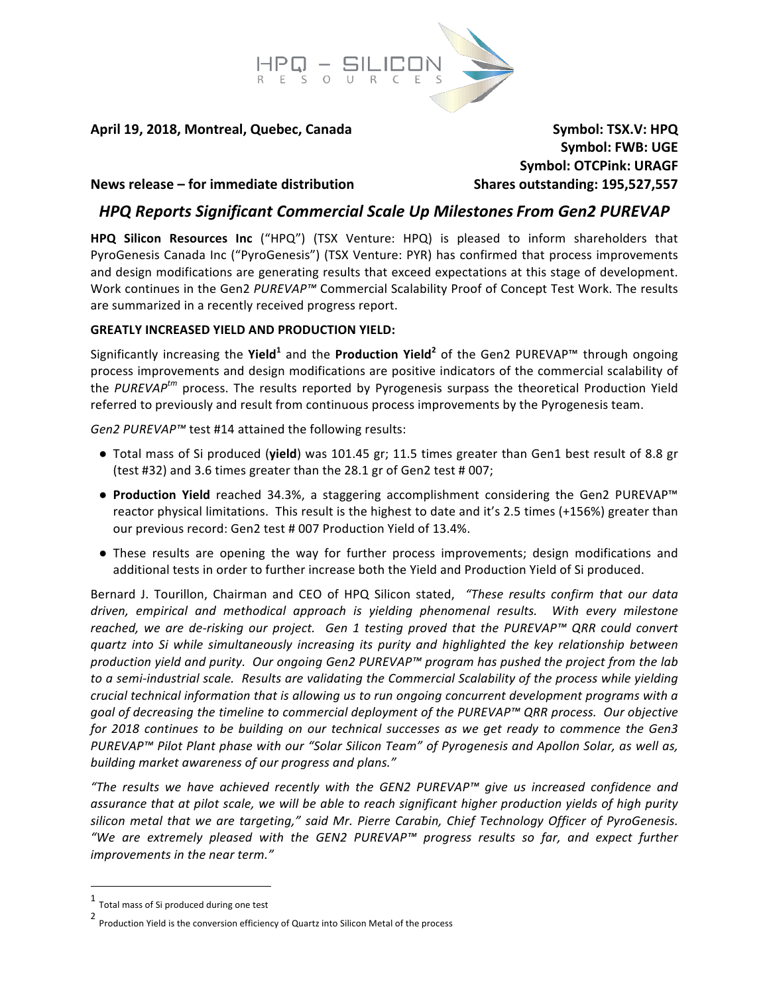

**April 19, 2018, Montreal, Quebec, Canada Symbol: TSX.V: HPQ** 

**Symbol: FWB: UGE Symbol: OTCPink: URAGF** 

### **News release – for immediate distribution by Shares outstanding: 195,527,557**

# *HPQ Reports Significant Commercial Scale Up Milestones From Gen2 PUREVAP*

**HPQ Silicon Resources Inc** ("HPQ") (TSX Venture: HPQ) is pleased to inform shareholders that PyroGenesis Canada Inc ("PyroGenesis") (TSX Venture: PYR) has confirmed that process improvements and design modifications are generating results that exceed expectations at this stage of development. Work continues in the Gen2 PUREVAP<sup>™</sup> Commercial Scalability Proof of Concept Test Work. The results are summarized in a recently received progress report.

### **GREATLY INCREASED YIELD AND PRODUCTION YIELD:**

Significantly increasing the Yield<sup>1</sup> and the Production Yield<sup>2</sup> of the Gen2 PUREVAP™ through ongoing process improvements and design modifications are positive indicators of the commercial scalability of the *PUREVAP<sup>tm</sup>* process. The results reported by Pyrogenesis surpass the theoretical Production Yield referred to previously and result from continuous process improvements by the Pyrogenesis team.

*Gen2 PUREVAP™* test #14 attained the following results:

- Total mass of Si produced (**yield**) was 101.45 gr; 11.5 times greater than Gen1 best result of 8.8 gr (test #32) and 3.6 times greater than the 28.1 gr of Gen2 test # 007;
- **Production Yield** reached 34.3%, a staggering accomplishment considering the Gen2 PUREVAP™ reactor physical limitations. This result is the highest to date and it's 2.5 times (+156%) greater than our previous record: Gen2 test # 007 Production Yield of 13.4%.
- These results are opening the way for further process improvements; design modifications and additional tests in order to further increase both the Yield and Production Yield of Si produced.

Bernard J. Tourillon, Chairman and CEO of HPQ Silicon stated, "These results confirm that our data driven, empirical and methodical approach is yielding phenomenal results. With every milestone *reached, we are de-risking our project.* Gen 1 testing proved that the PUREVAP™ QRR could convert *quartz* into Si while simultaneously increasing its purity and highlighted the key relationship between production yield and purity. Our ongoing Gen2 PUREVAP™ program has pushed the project from the lab to a semi-industrial scale. Results are validating the Commercial Scalability of the process while yielding *crucial* technical information that is allowing us to run ongoing concurrent development programs with a *goal* of decreasing the timeline to commercial deployment of the PUREVAP™ QRR process. Our objective *for* 2018 continues to be building on our technical successes as we get ready to commence the Gen3 *PUREVAP™* Pilot Plant phase with our "Solar Silicon Team" of Pyrogenesis and Apollon Solar, as well as, building market awareness of our progress and plans."

*"The results we have achieved recently with the GEN2 PUREVAP™ give us increased confidence and assurance that at pilot scale, we will be able to reach significant higher production yields of high purity* silicon metal that we are targeting," said Mr. Pierre Carabin, Chief Technology Officer of PyroGenesis. "We are extremely pleased with the GEN2 PUREVAP™ progress results so far, and expect further *improvements in the near term."* 

 1 Total mass of Si produced during one test

<sup>2&</sup>lt;br>Production Yield is the conversion efficiency of Quartz into Silicon Metal of the process